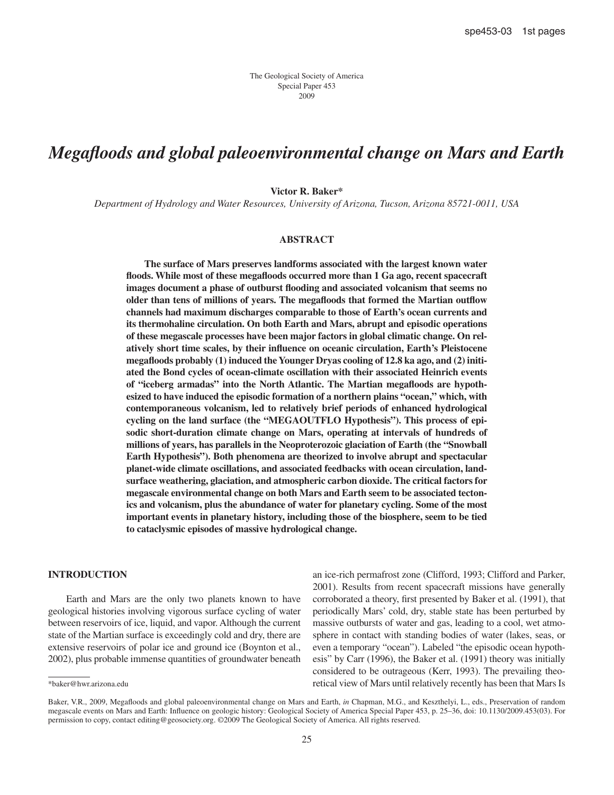# *Megafl oods and global paleoenvironmental change on Mars and Earth*

**Victor R. Baker\***

*Department of Hydrology and Water Resources, University of Arizona, Tucson, Arizona 85721-0011, USA*

#### **ABSTRACT**

**The surface of Mars preserves landforms associated with the largest known water**  floods. While most of these megafloods occurred more than 1 Ga ago, recent spacecraft **images document a phase of outburst flooding and associated volcanism that seems no** older than tens of millions of years. The megafloods that formed the Martian outflow **channels had maximum discharges comparable to those of Earth's ocean currents and its thermohaline circulation. On both Earth and Mars, abrupt and episodic operations of these megascale processes have been major factors in global climatic change. On rel**atively short time scales, by their influence on oceanic circulation, Earth's Pleistocene megafloods probably (1) induced the Younger Dryas cooling of 12.8 ka ago, and (2) initi**ated the Bond cycles of ocean-climate oscillation with their associated Heinrich events**  of "iceberg armadas" into the North Atlantic. The Martian megafloods are hypoth**esized to have induced the episodic formation of a northern plains "ocean," which, with contemporaneous volcanism, led to relatively brief periods of enhanced hydrological cycling on the land surface (the "MEGAOUTFLO Hypothesis"). This process of episodic short-duration climate change on Mars, operating at intervals of hundreds of millions of years, has parallels in the Neoproterozoic glaciation of Earth (the "Snowball Earth Hypothesis"). Both phenomena are theorized to involve abrupt and spectacular planet-wide climate oscillations, and associated feedbacks with ocean circulation, landsurface weathering, glaciation, and atmospheric carbon dioxide. The critical factors for megascale environmental change on both Mars and Earth seem to be associated tectonics and volcanism, plus the abundance of water for planetary cycling. Some of the most important events in planetary history, including those of the biosphere, seem to be tied to cataclysmic episodes of massive hydrological change.**

## **INTRODUCTION**

Earth and Mars are the only two planets known to have geological histories involving vigorous surface cycling of water between reservoirs of ice, liquid, and vapor. Although the current state of the Martian surface is exceedingly cold and dry, there are extensive reservoirs of polar ice and ground ice (Boynton et al., 2002), plus probable immense quantities of groundwater beneath

an ice-rich permafrost zone (Clifford, 1993; Clifford and Parker, 2001). Results from recent spacecraft missions have generally corroborated a theory, first presented by Baker et al. (1991), that periodically Mars' cold, dry, stable state has been perturbed by massive outbursts of water and gas, leading to a cool, wet atmosphere in contact with standing bodies of water (lakes, seas, or even a temporary "ocean"). Labeled "the episodic ocean hypothesis" by Carr (1996), the Baker et al. (1991) theory was initially considered to be outrageous (Kerr, 1993). The prevailing theoretical view of Mars until relatively recently has been that Mars Is

<sup>\*</sup>baker@hwr.arizona.edu

Baker, V.R., 2009, Megafloods and global paleoenvironmental change on Mars and Earth, *in* Chapman, M.G., and Keszthelyi, L., eds., Preservation of random megascale events on Mars and Earth: Influence on geologic history: Geological Society of America Special Paper 453, p. 25-36, doi: 10.1130/2009.453(03). For permission to copy, contact editing@geosociety.org. ©2009 The Geological Society of America. All rights reserved.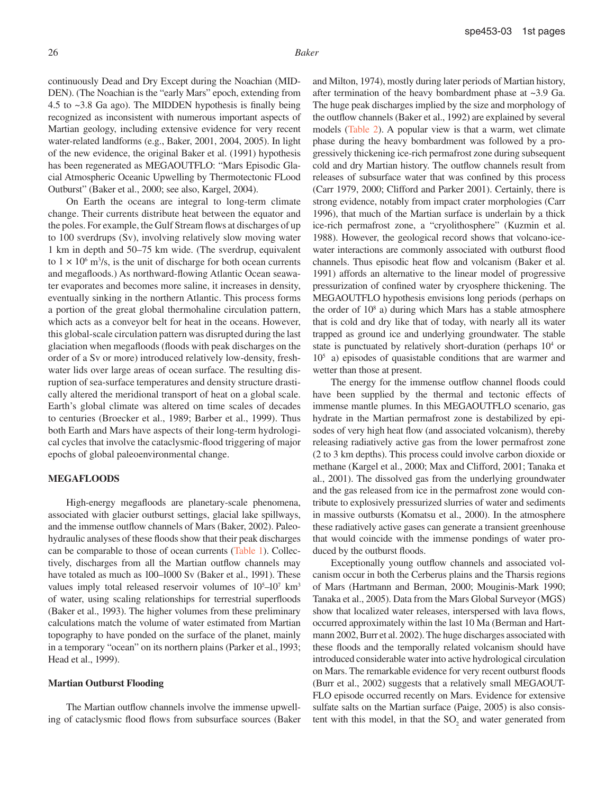continuously Dead and Dry Except during the Noachian (MID-DEN). (The Noachian is the "early Mars" epoch, extending from 4.5 to  $\sim$ 3.8 Ga ago). The MIDDEN hypothesis is finally being recognized as inconsistent with numerous important aspects of Martian geology, including extensive evidence for very recent water-related landforms (e.g., Baker, 2001, 2004, 2005). In light of the new evidence, the original Baker et al. (1991) hypothesis has been regenerated as MEGAOUTFLO: "Mars Episodic Glacial Atmospheric Oceanic Upwelling by Thermotectonic FLood Outburst" (Baker et al., 2000; see also, Kargel, 2004).

On Earth the oceans are integral to long-term climate change. Their currents distribute heat between the equator and the poles. For example, the Gulf Stream flows at discharges of up to 100 sverdrups (Sv), involving relatively slow moving water 1 km in depth and 50–75 km wide. (The sverdrup, equivalent to  $1 \times 10^6$  m<sup>3</sup>/s, is the unit of discharge for both ocean currents and megafloods.) As northward-flowing Atlantic Ocean seawater evaporates and becomes more saline, it increases in density, eventually sinking in the northern Atlantic. This process forms a portion of the great global thermohaline circulation pattern, which acts as a conveyor belt for heat in the oceans. However, this global-scale circulation pattern was disrupted during the last glaciation when megafloods (floods with peak discharges on the order of a Sv or more) introduced relatively low-density, freshwater lids over large areas of ocean surface. The resulting disruption of sea-surface temperatures and density structure drastically altered the meridional transport of heat on a global scale. Earth's global climate was altered on time scales of decades to centuries (Broecker et al., 1989; Barber et al., 1999). Thus both Earth and Mars have aspects of their long-term hydrological cycles that involve the cataclysmic-flood triggering of major epochs of global paleoenvironmental change.

#### **MEGAFLOODS**

High-energy megafloods are planetary-scale phenomena, associated with glacier outburst settings, glacial lake spillways, and the immense outflow channels of Mars (Baker, 2002). Paleohydraulic analyses of these floods show that their peak discharges can be comparable to those of ocean currents (Table 1). Collectively, discharges from all the Martian outflow channels may have totaled as much as 100–1000 Sv (Baker et al., 1991). These values imply total released reservoir volumes of  $10<sup>5</sup>-10<sup>7</sup>$  km<sup>3</sup> of water, using scaling relationships for terrestrial superfloods (Baker et al., 1993). The higher volumes from these preliminary calculations match the volume of water estimated from Martian topography to have ponded on the surface of the planet, mainly in a temporary "ocean" on its northern plains (Parker et al., 1993; Head et al., 1999).

#### **Martian Outburst Flooding**

The Martian outflow channels involve the immense upwelling of cataclysmic flood flows from subsurface sources (Baker and Milton, 1974), mostly during later periods of Martian history, after termination of the heavy bombardment phase at ~3.9 Ga. The huge peak discharges implied by the size and morphology of the outflow channels (Baker et al., 1992) are explained by several models (Table 2). A popular view is that a warm, wet climate phase during the heavy bombardment was followed by a progressively thickening ice-rich permafrost zone during subsequent cold and dry Martian history. The outflow channels result from releases of subsurface water that was confined by this process (Carr 1979, 2000; Clifford and Parker 2001). Certainly, there is strong evidence, notably from impact crater morphologies (Carr 1996), that much of the Martian surface is underlain by a thick ice-rich permafrost zone, a "cryolithosphere" (Kuzmin et al. 1988). However, the geological record shows that volcano-icewater interactions are commonly associated with outburst flood channels. Thus episodic heat flow and volcanism (Baker et al. 1991) affords an alternative to the linear model of progressive pressurization of confined water by cryosphere thickening. The MEGAOUTFLO hypothesis envisions long periods (perhaps on the order of  $10<sup>8</sup>$  a) during which Mars has a stable atmosphere that is cold and dry like that of today, with nearly all its water trapped as ground ice and underlying groundwater. The stable state is punctuated by relatively short-duration (perhaps  $10<sup>4</sup>$  or  $10<sup>5</sup>$  a) episodes of quasistable conditions that are warmer and wetter than those at present.

The energy for the immense outflow channel floods could have been supplied by the thermal and tectonic effects of immense mantle plumes. In this MEGAOUTFLO scenario, gas hydrate in the Martian permafrost zone is destabilized by episodes of very high heat flow (and associated volcanism), thereby releasing radiatively active gas from the lower permafrost zone (2 to 3 km depths). This process could involve carbon dioxide or methane (Kargel et al., 2000; Max and Clifford, 2001; Tanaka et al., 2001). The dissolved gas from the underlying groundwater and the gas released from ice in the permafrost zone would contribute to explosively pressurized slurries of water and sediments in massive outbursts (Komatsu et al., 2000). In the atmosphere these radiatively active gases can generate a transient greenhouse that would coincide with the immense pondings of water produced by the outburst floods.

Exceptionally young outflow channels and associated volcanism occur in both the Cerberus plains and the Tharsis regions of Mars (Hartmann and Berman, 2000; Mouginis-Mark 1990; Tanaka et al., 2005). Data from the Mars Global Surveyor (MGS) show that localized water releases, interspersed with lava flows, occurred approximately within the last 10 Ma (Berman and Hartmann 2002, Burr et al. 2002). The huge discharges associated with these floods and the temporally related volcanism should have introduced considerable water into active hydrological circulation on Mars. The remarkable evidence for very recent outburst floods (Burr et al., 2002) suggests that a relatively small MEGAOUT-FLO episode occurred recently on Mars. Evidence for extensive sulfate salts on the Martian surface (Paige, 2005) is also consistent with this model, in that the  $SO_2$  and water generated from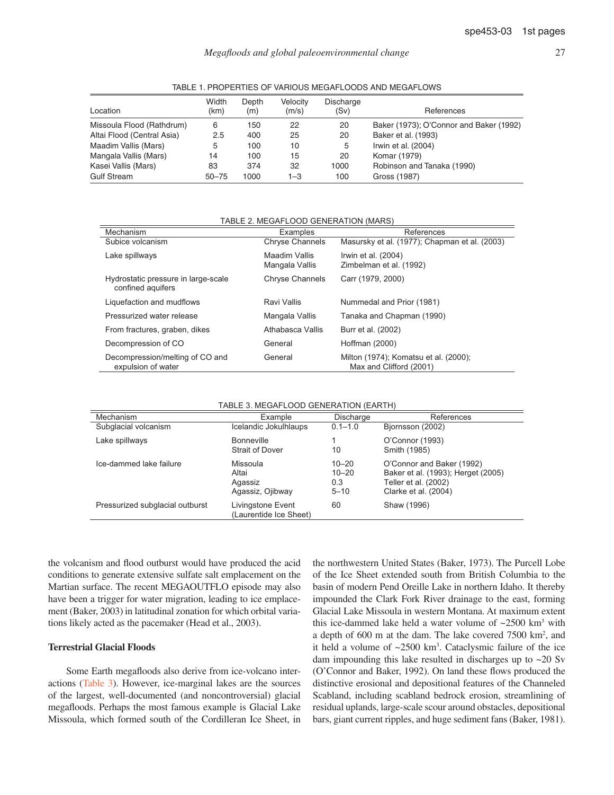## *Megafl oods and global paleoenvironmental change* 27

| Location                   | Width<br>(km) | Depth<br>(m) | Velocity<br>(m/s) | <b>Discharge</b><br>(Sv) | References                              |  |  |
|----------------------------|---------------|--------------|-------------------|--------------------------|-----------------------------------------|--|--|
| Missoula Flood (Rathdrum)  | 6             | 150          | 22                | 20                       | Baker (1973); O'Connor and Baker (1992) |  |  |
| Altai Flood (Central Asia) | 2.5           | 400          | 25                | 20                       | Baker et al. (1993)                     |  |  |
| Maadim Vallis (Mars)       | 5             | 100          | 10                | 5                        | Irwin et al. (2004)                     |  |  |
| Mangala Vallis (Mars)      | 14            | 100          | 15                | 20                       | Komar (1979)                            |  |  |
| Kasei Vallis (Mars)        | 83            | 374          | 32                | 1000                     | Robinson and Tanaka (1990)              |  |  |
| <b>Gulf Stream</b>         | $50 - 75$     | 1000         | 1–3               | 100                      | Gross (1987)                            |  |  |

TABLE 1. PROPERTIES OF VARIOUS MEGAFLOODS AND MEGAFLOWS

| INDEE 2. MEONI EOOD OENERN HON (MARO)                    |                        |                                                                  |  |  |  |  |
|----------------------------------------------------------|------------------------|------------------------------------------------------------------|--|--|--|--|
| Mechanism                                                | Examples               | References                                                       |  |  |  |  |
| Subice volcanism                                         | <b>Chryse Channels</b> | Masursky et al. (1977); Chapman et al. (2003)                    |  |  |  |  |
| Lake spillways                                           | Maadim Vallis          | Irwin et al. (2004)                                              |  |  |  |  |
|                                                          | Mangala Vallis         | Zimbelman et al. (1992)                                          |  |  |  |  |
| Hydrostatic pressure in large-scale<br>confined aquifers | Chryse Channels        | Carr (1979, 2000)                                                |  |  |  |  |
| Liquefaction and mudflows                                | Ravi Vallis            | Nummedal and Prior (1981)                                        |  |  |  |  |
| Pressurized water release                                | Mangala Vallis         | Tanaka and Chapman (1990)                                        |  |  |  |  |
| From fractures, graben, dikes                            | Athabasca Vallis       | Burr et al. (2002)                                               |  |  |  |  |
| Decompression of CO                                      | General                | Hoffman (2000)                                                   |  |  |  |  |
| Decompression/melting of CO and<br>expulsion of water    | General                | Milton (1974); Komatsu et al. (2000);<br>Max and Clifford (2001) |  |  |  |  |

TABLE 2. MEGAFLOOD GENERATION (MARS)

| Mechanism                       | Example                                          | <b>Discharge</b>                          | References                                                                                                      |
|---------------------------------|--------------------------------------------------|-------------------------------------------|-----------------------------------------------------------------------------------------------------------------|
| Subglacial volcanism            | Icelandic Jokulhlaups                            | $0.1 - 1.0$                               | Bjornsson (2002)                                                                                                |
| Lake spillways                  | <b>Bonneville</b><br>Strait of Dover             | 10                                        | O'Connor (1993)<br>Smith (1985)                                                                                 |
| Ice-dammed lake failure         | Missoula<br>Altai<br>Agassiz<br>Agassiz, Ojibway | $10 - 20$<br>$10 - 20$<br>0.3<br>$5 - 10$ | O'Connor and Baker (1992)<br>Baker et al. (1993); Herget (2005)<br>Teller et al. (2002)<br>Clarke et al. (2004) |
| Pressurized subglacial outburst | Livingstone Event<br>(Laurentide Ice Sheet)      | 60                                        | Shaw (1996)                                                                                                     |

the volcanism and flood outburst would have produced the acid conditions to generate extensive sulfate salt emplacement on the Martian surface. The recent MEGAOUTFLO episode may also have been a trigger for water migration, leading to ice emplacement (Baker, 2003) in latitudinal zonation for which orbital variations likely acted as the pacemaker (Head et al., 2003).

## **Terrestrial Glacial Floods**

Some Earth megafloods also derive from ice-volcano interactions (Table 3). However, ice-marginal lakes are the sources of the largest, well-documented (and noncontroversial) glacial megafl oods. Perhaps the most famous example is Glacial Lake Missoula, which formed south of the Cordilleran Ice Sheet, in the northwestern United States (Baker, 1973). The Purcell Lobe of the Ice Sheet extended south from British Columbia to the basin of modern Pend Oreille Lake in northern Idaho. It thereby impounded the Clark Fork River drainage to the east, forming Glacial Lake Missoula in western Montana. At maximum extent this ice-dammed lake held a water volume of  $\sim$ 2500 km<sup>3</sup> with a depth of 600 m at the dam. The lake covered 7500 km<sup>2</sup>, and it held a volume of  $\sim$ 2500 km<sup>3</sup>. Cataclysmic failure of the ice dam impounding this lake resulted in discharges up to ~20 Sv (O'Connor and Baker, 1992). On land these flows produced the distinctive erosional and depositional features of the Channeled Scabland, including scabland bedrock erosion, streamlining of residual uplands, large-scale scour around obstacles, depositional bars, giant current ripples, and huge sediment fans (Baker, 1981).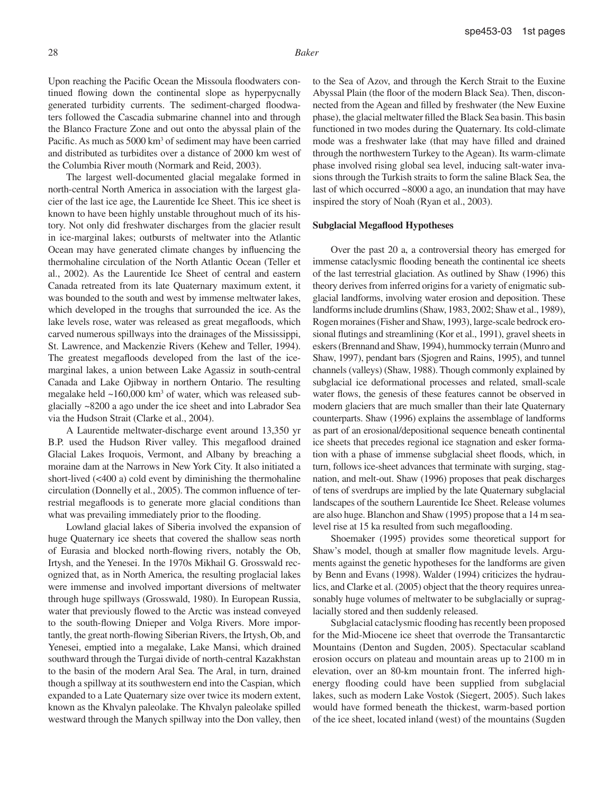Upon reaching the Pacific Ocean the Missoula floodwaters continued flowing down the continental slope as hyperpycnally generated turbidity currents. The sediment-charged floodwaters followed the Cascadia submarine channel into and through the Blanco Fracture Zone and out onto the abyssal plain of the Pacific. As much as 5000 km<sup>3</sup> of sediment may have been carried and distributed as turbidites over a distance of 2000 km west of the Columbia River mouth (Normark and Reid, 2003).

The largest well-documented glacial megalake formed in north-central North America in association with the largest glacier of the last ice age, the Laurentide Ice Sheet. This ice sheet is known to have been highly unstable throughout much of its history. Not only did freshwater discharges from the glacier result in ice-marginal lakes; outbursts of meltwater into the Atlantic Ocean may have generated climate changes by influencing the thermohaline circulation of the North Atlantic Ocean (Teller et al., 2002). As the Laurentide Ice Sheet of central and eastern Canada retreated from its late Quaternary maximum extent, it was bounded to the south and west by immense meltwater lakes, which developed in the troughs that surrounded the ice. As the lake levels rose, water was released as great megafloods, which carved numerous spillways into the drainages of the Mississippi, St. Lawrence, and Mackenzie Rivers (Kehew and Teller, 1994). The greatest megafloods developed from the last of the icemarginal lakes, a union between Lake Agassiz in south-central Canada and Lake Ojibway in northern Ontario. The resulting megalake held  $\sim$ 160,000 km<sup>3</sup> of water, which was released subglacially ~8200 a ago under the ice sheet and into Labrador Sea via the Hudson Strait (Clarke et al., 2004).

A Laurentide meltwater-discharge event around 13,350 yr B.P. used the Hudson River valley. This megaflood drained Glacial Lakes Iroquois, Vermont, and Albany by breaching a moraine dam at the Narrows in New York City. It also initiated a short-lived (<400 a) cold event by diminishing the thermohaline circulation (Donnelly et al., 2005). The common influence of terrestrial megafloods is to generate more glacial conditions than what was prevailing immediately prior to the flooding.

Lowland glacial lakes of Siberia involved the expansion of huge Quaternary ice sheets that covered the shallow seas north of Eurasia and blocked north-flowing rivers, notably the Ob, Irtysh, and the Yenesei. In the 1970s Mikhail G. Grosswald recognized that, as in North America, the resulting proglacial lakes were immense and involved important diversions of meltwater through huge spillways (Grosswald, 1980). In European Russia, water that previously flowed to the Arctic was instead conveyed to the south-flowing Dnieper and Volga Rivers. More importantly, the great north-flowing Siberian Rivers, the Irtysh, Ob, and Yenesei, emptied into a megalake, Lake Mansi, which drained southward through the Turgai divide of north-central Kazakhstan to the basin of the modern Aral Sea. The Aral, in turn, drained though a spillway at its southwestern end into the Caspian, which expanded to a Late Quaternary size over twice its modern extent, known as the Khvalyn paleolake. The Khvalyn paleolake spilled westward through the Manych spillway into the Don valley, then

to the Sea of Azov, and through the Kerch Strait to the Euxine Abyssal Plain (the floor of the modern Black Sea). Then, disconnected from the Agean and filled by freshwater (the New Euxine phase), the glacial meltwater filled the Black Sea basin. This basin functioned in two modes during the Quaternary. Its cold-climate mode was a freshwater lake (that may have filled and drained through the northwestern Turkey to the Agean). Its warm-climate phase involved rising global sea level, inducing salt-water invasions through the Turkish straits to form the saline Black Sea, the last of which occurred ~8000 a ago, an inundation that may have inspired the story of Noah (Ryan et al., 2003).

## **Subglacial Megaflood Hypotheses**

Over the past 20 a, a controversial theory has emerged for immense cataclysmic flooding beneath the continental ice sheets of the last terrestrial glaciation. As outlined by Shaw (1996) this theory derives from inferred origins for a variety of enigmatic subglacial landforms, involving water erosion and deposition. These landforms include drumlins (Shaw, 1983, 2002; Shaw et al., 1989), Rogen moraines (Fisher and Shaw, 1993), large-scale bedrock erosional flutings and streamlining (Kor et al., 1991), gravel sheets in eskers (Brennand and Shaw, 1994), hummocky terrain (Munro and Shaw, 1997), pendant bars (Sjogren and Rains, 1995), and tunnel channels (valleys) (Shaw, 1988). Though commonly explained by subglacial ice deformational processes and related, small-scale water flows, the genesis of these features cannot be observed in modern glaciers that are much smaller than their late Quaternary counterparts. Shaw (1996) explains the assemblage of landforms as part of an erosional/depositional sequence beneath continental ice sheets that precedes regional ice stagnation and esker formation with a phase of immense subglacial sheet floods, which, in turn, follows ice-sheet advances that terminate with surging, stagnation, and melt-out. Shaw (1996) proposes that peak discharges of tens of sverdrups are implied by the late Quaternary subglacial landscapes of the southern Laurentide Ice Sheet. Release volumes are also huge. Blanchon and Shaw (1995) propose that a 14 m sealevel rise at 15 ka resulted from such megaflooding.

Shoemaker (1995) provides some theoretical support for Shaw's model, though at smaller flow magnitude levels. Arguments against the genetic hypotheses for the landforms are given by Benn and Evans (1998). Walder (1994) criticizes the hydraulics, and Clarke et al. (2005) object that the theory requires unreasonably huge volumes of meltwater to be subglacially or supraglacially stored and then suddenly released.

Subglacial cataclysmic flooding has recently been proposed for the Mid-Miocene ice sheet that overrode the Transantarctic Mountains (Denton and Sugden, 2005). Spectacular scabland erosion occurs on plateau and mountain areas up to 2100 m in elevation, over an 80-km mountain front. The inferred highenergy flooding could have been supplied from subglacial lakes, such as modern Lake Vostok (Siegert, 2005). Such lakes would have formed beneath the thickest, warm-based portion of the ice sheet, located inland (west) of the mountains (Sugden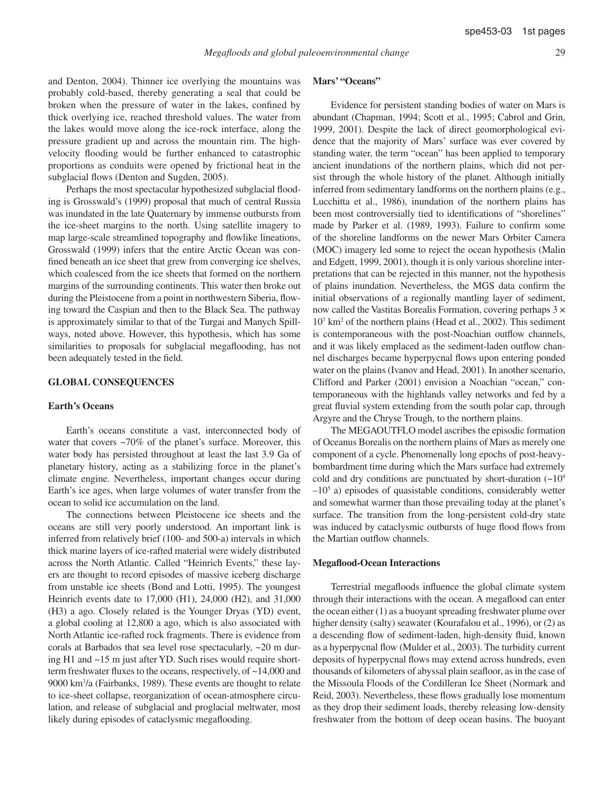and Denton, 2004). Thinner ice overlying the mountains was probably cold-based, thereby generating a seal that could be broken when the pressure of water in the lakes, confined by thick overlying ice, reached threshold values. The water from the lakes would move along the ice-rock interface, along the pressure gradient up and across the mountain rim. The highvelocity flooding would be further enhanced to catastrophic proportions as conduits were opened by frictional heat in the subglacial flows (Denton and Sugden, 2005).

Perhaps the most spectacular hypothesized subglacial flooding is Grosswald's (1999) proposal that much of central Russia was inundated in the late Quaternary by immense outbursts from the ice-sheet margins to the north. Using satellite imagery to map large-scale streamlined topography and flowlike lineations, Grosswald (1999) infers that the entire Arctic Ocean was confined beneath an ice sheet that grew from converging ice shelves, which coalesced from the ice sheets that formed on the northern margins of the surrounding continents. This water then broke out during the Pleistocene from a point in northwestern Siberia, flowing toward the Caspian and then to the Black Sea. The pathway is approximately similar to that of the Turgai and Manych Spillways, noted above. However, this hypothesis, which has some similarities to proposals for subglacial megaflooding, has not been adequately tested in the field.

#### **GLOBAL CONSEQUENCES**

#### **Earth's Oceans**

Earth's oceans constitute a vast, interconnected body of water that covers ~70% of the planet's surface. Moreover, this water body has persisted throughout at least the last 3.9 Ga of planetary history, acting as a stabilizing force in the planet's climate engine. Nevertheless, important changes occur during Earth's ice ages, when large volumes of water transfer from the ocean to solid ice accumulation on the land.

The connections between Pleistocene ice sheets and the oceans are still very poorly understood. An important link is inferred from relatively brief (100- and 500-a) intervals in which thick marine layers of ice-rafted material were widely distributed across the North Atlantic. Called "Heinrich Events," these layers are thought to record episodes of massive iceberg discharge from unstable ice sheets (Bond and Lotti, 1995). The youngest Heinrich events date to 17,000 (H1), 24,000 (H2), and 31,000 (H3) a ago. Closely related is the Younger Dryas (YD) event, a global cooling at 12,800 a ago, which is also associated with North Atlantic ice-rafted rock fragments. There is evidence from corals at Barbados that sea level rose spectacularly, ~20 m during H1 and ~15 m just after YD. Such rises would require shortterm freshwater fluxes to the oceans, respectively, of  $\sim$ 14,000 and 9000 km3 /a (Fairbanks, 1989). These events are thought to relate to ice-sheet collapse, reorganization of ocean-atmosphere circulation, and release of subglacial and proglacial meltwater, most likely during episodes of cataclysmic megaflooding.

## **Mars' "Oceans"**

Evidence for persistent standing bodies of water on Mars is abundant (Chapman, 1994; Scott et al., 1995; Cabrol and Grin, 1999, 2001). Despite the lack of direct geomorphological evidence that the majority of Mars' surface was ever covered by standing water, the term "ocean" has been applied to temporary ancient inundations of the northern plains, which did not persist through the whole history of the planet. Although initially inferred from sedimentary landforms on the northern plains (e.g., Lucchitta et al., 1986), inundation of the northern plains has been most controversially tied to identifications of "shorelines" made by Parker et al. (1989, 1993). Failure to confirm some of the shoreline landforms on the newer Mars Orbiter Camera (MOC) imagery led some to reject the ocean hypothesis (Malin and Edgett, 1999, 2001), though it is only various shoreline interpretations that can be rejected in this manner, not the hypothesis of plains inundation. Nevertheless, the MGS data confirm the initial observations of a regionally mantling layer of sediment, now called the Vastitas Borealis Formation, covering perhaps 3 × 107 km2 of the northern plains (Head et al., 2002). This sediment is contemporaneous with the post-Noachian outflow channels, and it was likely emplaced as the sediment-laden outflow channel discharges became hyperpycnal flows upon entering ponded water on the plains (Ivanov and Head, 2001). In another scenario, Clifford and Parker (2001) envision a Noachian "ocean," contemporaneous with the highlands valley networks and fed by a great fluvial system extending from the south polar cap, through Argyre and the Chryse Trough, to the northern plains.

The MEGAOUTFLO model ascribes the episodic formation of Oceanus Borealis on the northern plains of Mars as merely one component of a cycle. Phenomenally long epochs of post-heavybombardment time during which the Mars surface had extremely cold and dry conditions are punctuated by short-duration  $(\sim 10^4$  $-10<sup>5</sup>$  a) episodes of quasistable conditions, considerably wetter and somewhat warmer than those prevailing today at the planet's surface. The transition from the long-persistent cold-dry state was induced by cataclysmic outbursts of huge flood flows from the Martian outflow channels.

#### **Megaflood-Ocean Interactions**

Terrestrial megafloods influence the global climate system through their interactions with the ocean. A megaflood can enter the ocean either (1) as a buoyant spreading freshwater plume over higher density (salty) seawater (Kourafalou et al., 1996), or (2) as a descending flow of sediment-laden, high-density fluid, known as a hyperpycnal flow (Mulder et al., 2003). The turbidity current deposits of hyperpycnal flows may extend across hundreds, even thousands of kilometers of abyssal plain seafloor, as in the case of the Missoula Floods of the Cordilleran Ice Sheet (Normark and Reid, 2003). Nevertheless, these flows gradually lose momentum as they drop their sediment loads, thereby releasing low-density freshwater from the bottom of deep ocean basins. The buoyant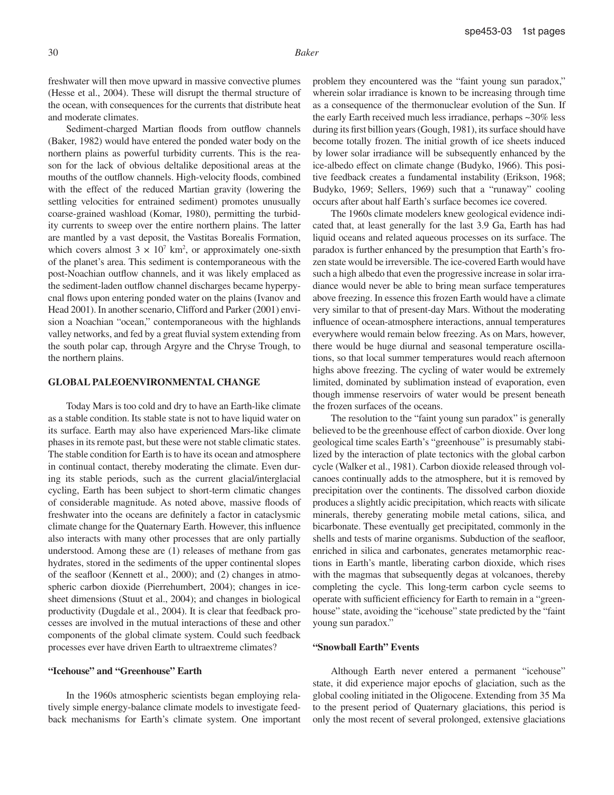Sediment-charged Martian floods from outflow channels (Baker, 1982) would have entered the ponded water body on the northern plains as powerful turbidity currents. This is the reason for the lack of obvious deltalike depositional areas at the mouths of the outflow channels. High-velocity floods, combined with the effect of the reduced Martian gravity (lowering the settling velocities for entrained sediment) promotes unusually coarse-grained washload (Komar, 1980), permitting the turbidity currents to sweep over the entire northern plains. The latter are mantled by a vast deposit, the Vastitas Borealis Formation, which covers almost  $3 \times 10^7$  km<sup>2</sup>, or approximately one-sixth of the planet's area. This sediment is contemporaneous with the post-Noachian outflow channels, and it was likely emplaced as the sediment-laden outflow channel discharges became hyperpycnal flows upon entering ponded water on the plains (Ivanov and Head 2001). In another scenario, Clifford and Parker (2001) envision a Noachian "ocean," contemporaneous with the highlands valley networks, and fed by a great fluvial system extending from the south polar cap, through Argyre and the Chryse Trough, to the northern plains.

## **GLOBAL PALEOENVIRONMENTAL CHANGE**

Today Mars is too cold and dry to have an Earth-like climate as a stable condition. Its stable state is not to have liquid water on its surface. Earth may also have experienced Mars-like climate phases in its remote past, but these were not stable climatic states. The stable condition for Earth is to have its ocean and atmosphere in continual contact, thereby moderating the climate. Even during its stable periods, such as the current glacial/interglacial cycling, Earth has been subject to short-term climatic changes of considerable magnitude. As noted above, massive floods of freshwater into the oceans are definitely a factor in cataclysmic climate change for the Quaternary Earth. However, this influence also interacts with many other processes that are only partially understood. Among these are (1) releases of methane from gas hydrates, stored in the sediments of the upper continental slopes of the seafl oor (Kennett et al., 2000); and (2) changes in atmospheric carbon dioxide (Pierrehumbert, 2004); changes in icesheet dimensions (Stuut et al., 2004); and changes in biological productivity (Dugdale et al., 2004). It is clear that feedback processes are involved in the mutual interactions of these and other components of the global climate system. Could such feedback processes ever have driven Earth to ultraextreme climates?

## **"Icehouse" and "Greenhouse" Earth**

In the 1960s atmospheric scientists began employing relatively simple energy-balance climate models to investigate feedback mechanisms for Earth's climate system. One important problem they encountered was the "faint young sun paradox," wherein solar irradiance is known to be increasing through time as a consequence of the thermonuclear evolution of the Sun. If the early Earth received much less irradiance, perhaps ~30% less during its first billion years (Gough, 1981), its surface should have become totally frozen. The initial growth of ice sheets induced by lower solar irradiance will be subsequently enhanced by the ice-albedo effect on climate change (Budyko, 1966). This positive feedback creates a fundamental instability (Erikson, 1968; Budyko, 1969; Sellers, 1969) such that a "runaway" cooling occurs after about half Earth's surface becomes ice covered.

The 1960s climate modelers knew geological evidence indicated that, at least generally for the last 3.9 Ga, Earth has had liquid oceans and related aqueous processes on its surface. The paradox is further enhanced by the presumption that Earth's frozen state would be irreversible. The ice-covered Earth would have such a high albedo that even the progressive increase in solar irradiance would never be able to bring mean surface temperatures above freezing. In essence this frozen Earth would have a climate very similar to that of present-day Mars. Without the moderating influence of ocean-atmosphere interactions, annual temperatures everywhere would remain below freezing. As on Mars, however, there would be huge diurnal and seasonal temperature oscillations, so that local summer temperatures would reach afternoon highs above freezing. The cycling of water would be extremely limited, dominated by sublimation instead of evaporation, even though immense reservoirs of water would be present beneath the frozen surfaces of the oceans.

The resolution to the "faint young sun paradox" is generally believed to be the greenhouse effect of carbon dioxide. Over long geological time scales Earth's "greenhouse" is presumably stabilized by the interaction of plate tectonics with the global carbon cycle (Walker et al., 1981). Carbon dioxide released through volcanoes continually adds to the atmosphere, but it is removed by precipitation over the continents. The dissolved carbon dioxide produces a slightly acidic precipitation, which reacts with silicate minerals, thereby generating mobile metal cations, silica, and bicarbonate. These eventually get precipitated, commonly in the shells and tests of marine organisms. Subduction of the seafloor, enriched in silica and carbonates, generates metamorphic reactions in Earth's mantle, liberating carbon dioxide, which rises with the magmas that subsequently degas at volcanoes, thereby completing the cycle. This long-term carbon cycle seems to operate with sufficient efficiency for Earth to remain in a "greenhouse" state, avoiding the "icehouse" state predicted by the "faint young sun paradox."

## **"Snowball Earth" Events**

Although Earth never entered a permanent "icehouse" state, it did experience major epochs of glaciation, such as the global cooling initiated in the Oligocene. Extending from 35 Ma to the present period of Quaternary glaciations, this period is only the most recent of several prolonged, extensive glaciations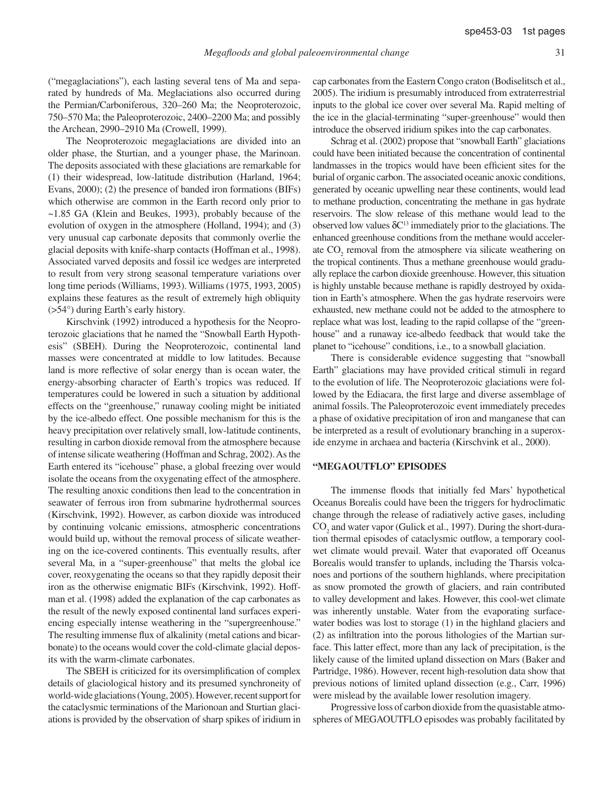(" megaglaciations"), each lasting several tens of Ma and separated by hundreds of Ma. Meglaciations also occurred during the Permian/Carboniferous, 320–260 Ma; the Neoproterozoic, 750–570 Ma; the Paleoproterozoic, 2400–2200 Ma; and possibly the Archean, 2990–2910 Ma (Crowell, 1999).

The Neoproterozoic megaglaciations are divided into an older phase, the Sturtian, and a younger phase, the Marinoan. The deposits associated with these glaciations are remarkable for (1) their widespread, low-latitude distribution (Harland, 1964; Evans, 2000); (2) the presence of banded iron formations (BIFs) which otherwise are common in the Earth record only prior to ~1.85 GA (Klein and Beukes, 1993), probably because of the evolution of oxygen in the atmosphere (Holland, 1994); and (3) very unusual cap carbonate deposits that commonly overlie the glacial deposits with knife-sharp contacts (Hoffman et al., 1998). Associated varved deposits and fossil ice wedges are interpreted to result from very strong seasonal temperature variations over long time periods (Williams, 1993). Williams (1975, 1993, 2005) explains these features as the result of extremely high obliquity (>54°) during Earth's early history.

Kirschvink (1992) introduced a hypothesis for the Neoproterozoic glaciations that he named the "Snowball Earth Hypothesis" (SBEH). During the Neoproterozoic, continental land masses were concentrated at middle to low latitudes. Because land is more reflective of solar energy than is ocean water, the energy-absorbing character of Earth's tropics was reduced. If temperatures could be lowered in such a situation by additional effects on the "greenhouse," runaway cooling might be initiated by the ice-albedo effect. One possible mechanism for this is the heavy precipitation over relatively small, low-latitude continents, resulting in carbon dioxide removal from the atmosphere because of intense silicate weathering (Hoffman and Schrag, 2002). As the Earth entered its "icehouse" phase, a global freezing over would isolate the oceans from the oxygenating effect of the atmosphere. The resulting anoxic conditions then lead to the concentration in seawater of ferrous iron from submarine hydrothermal sources (Kirschvink, 1992). However, as carbon dioxide was introduced by continuing volcanic emissions, atmospheric concentrations would build up, without the removal process of silicate weathering on the ice-covered continents. This eventually results, after several Ma, in a "super-greenhouse" that melts the global ice cover, reoxygenating the oceans so that they rapidly deposit their iron as the otherwise enigmatic BIFs (Kirschvink, 1992). Hoffman et al. (1998) added the explanation of the cap carbonates as the result of the newly exposed continental land surfaces experiencing especially intense weathering in the "supergreenhouse." The resulting immense flux of alkalinity (metal cations and bicarbonate) to the oceans would cover the cold-climate glacial deposits with the warm-climate carbonates.

The SBEH is criticized for its oversimplification of complex details of glaciological history and its presumed synchroneity of world-wide glaciations (Young, 2005). However, recent support for the cataclysmic terminations of the Marionoan and Sturtian glaciations is provided by the observation of sharp spikes of iridium in cap carbonates from the Eastern Congo craton (Bodiselitsch et al., 2005). The iridium is presumably introduced from extraterrestrial inputs to the global ice cover over several Ma. Rapid melting of the ice in the glacial-terminating "super-greenhouse" would then introduce the observed iridium spikes into the cap carbonates.

Schrag et al. (2002) propose that "snowball Earth" glaciations could have been initiated because the concentration of continental landmasses in the tropics would have been efficient sites for the burial of organic carbon. The associated oceanic anoxic conditions, generated by oceanic upwelling near these continents, would lead to methane production, concentrating the methane in gas hydrate reservoirs. The slow release of this methane would lead to the observed low values  $\delta$ C<sup>13</sup> immediately prior to the glaciations. The enhanced greenhouse conditions from the methane would accelerate  $CO_2$  removal from the atmosphere via silicate weathering on the tropical continents. Thus a methane greenhouse would gradually replace the carbon dioxide greenhouse. However, this situation is highly unstable because methane is rapidly destroyed by oxidation in Earth's atmosphere. When the gas hydrate reservoirs were exhausted, new methane could not be added to the atmosphere to replace what was lost, leading to the rapid collapse of the "greenhouse" and a runaway ice-albedo feedback that would take the planet to "icehouse" conditions, i.e., to a snowball glaciation.

There is considerable evidence suggesting that "snowball Earth" glaciations may have provided critical stimuli in regard to the evolution of life. The Neoproterozoic glaciations were followed by the Ediacara, the first large and diverse assemblage of animal fossils. The Paleoproterozoic event immediately precedes a phase of oxidative precipitation of iron and manganese that can be interpreted as a result of evolutionary branching in a superoxide enzyme in archaea and bacteria (Kirschvink et al., 2000).

#### **"MEGAOUTFLO" EPISODES**

The immense floods that initially fed Mars' hypothetical Oceanus Borealis could have been the triggers for hydroclimatic change through the release of radiatively active gases, including  $CO<sub>2</sub>$  and water vapor (Gulick et al., 1997). During the short-duration thermal episodes of cataclysmic outflow, a temporary coolwet climate would prevail. Water that evaporated off Oceanus Borealis would transfer to uplands, including the Tharsis volcanoes and portions of the southern highlands, where precipitation as snow promoted the growth of glaciers, and rain contributed to valley development and lakes. However, this cool-wet climate was inherently unstable. Water from the evaporating surfacewater bodies was lost to storage (1) in the highland glaciers and  $(2)$  as infiltration into the porous lithologies of the Martian surface. This latter effect, more than any lack of precipitation, is the likely cause of the limited upland dissection on Mars (Baker and Partridge, 1986). However, recent high-resolution data show that previous notions of limited upland dissection (e.g., Carr, 1996) were mislead by the available lower resolution imagery.

Progressive loss of carbon dioxide from the quasistable atmospheres of MEGAOUTFLO episodes was probably facilitated by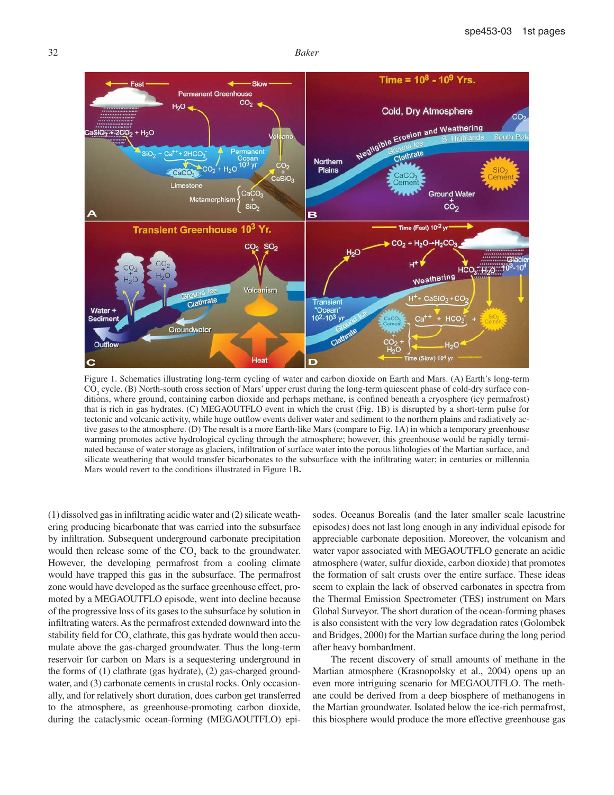

Figure 1. Schematics illustrating long-term cycling of water and carbon dioxide on Earth and Mars. (A) Earth's long-term CO<sub>2</sub> cycle. (B) North-south cross section of Mars' upper crust during the long-term quiescent phase of cold-dry surface conditions, where ground, containing carbon dioxide and perhaps methane, is confined beneath a cryosphere (icy permafrost) that is rich in gas hydrates. (C) MEGAOUTFLO event in which the crust (Fig. 1B) is disrupted by a short-term pulse for tectonic and volcanic activity, while huge outflow events deliver water and sediment to the northern plains and radiatively active gases to the atmosphere. (D) The result is a more Earth-like Mars (compare to Fig. 1A) in which a temporary greenhouse warming promotes active hydrological cycling through the atmosphere; however, this greenhouse would be rapidly terminated because of water storage as glaciers, infiltration of surface water into the porous lithologies of the Martian surface, and silicate weathering that would transfer bicarbonates to the subsurface with the infiltrating water; in centuries or millennia Mars would revert to the conditions illustrated in Figure 1B**.**

 $(1)$  dissolved gas in infiltrating acidic water and  $(2)$  silicate weathering producing bicarbonate that was carried into the subsurface by infiltration. Subsequent underground carbonate precipitation would then release some of the  $CO<sub>2</sub>$  back to the groundwater. However, the developing permafrost from a cooling climate would have trapped this gas in the subsurface. The permafrost zone would have developed as the surface greenhouse effect, promoted by a MEGAOUTFLO episode, went into decline because of the progressive loss of its gases to the subsurface by solution in infiltrating waters. As the permafrost extended downward into the stability field for  $\mathrm{CO}_2$  clathrate, this gas hydrate would then accumulate above the gas-charged groundwater. Thus the long-term reservoir for carbon on Mars is a sequestering underground in the forms of (1) clathrate (gas hydrate), (2) gas-charged groundwater, and (3) carbonate cements in crustal rocks. Only occasionally, and for relatively short duration, does carbon get transferred to the atmosphere, as greenhouse-promoting carbon dioxide, during the cataclysmic ocean-forming (MEGAOUTFLO) episodes. Oceanus Borealis (and the later smaller scale lacustrine episodes) does not last long enough in any individual episode for appreciable carbonate deposition. Moreover, the volcanism and water vapor associated with MEGAOUTFLO generate an acidic atmosphere (water, sulfur dioxide, carbon dioxide) that promotes the formation of salt crusts over the entire surface. These ideas seem to explain the lack of observed carbonates in spectra from the Thermal Emission Spectrometer (TES) instrument on Mars Global Surveyor. The short duration of the ocean-forming phases is also consistent with the very low degradation rates (Golombek and Bridges, 2000) for the Martian surface during the long period after heavy bombardment.

The recent discovery of small amounts of methane in the Martian atmosphere (Krasnopolsky et al., 2004) opens up an even more intriguing scenario for MEGAOUTFLO. The methane could be derived from a deep biosphere of methanogens in the Martian groundwater. Isolated below the ice-rich permafrost, this biosphere would produce the more effective greenhouse gas

32 *Baker*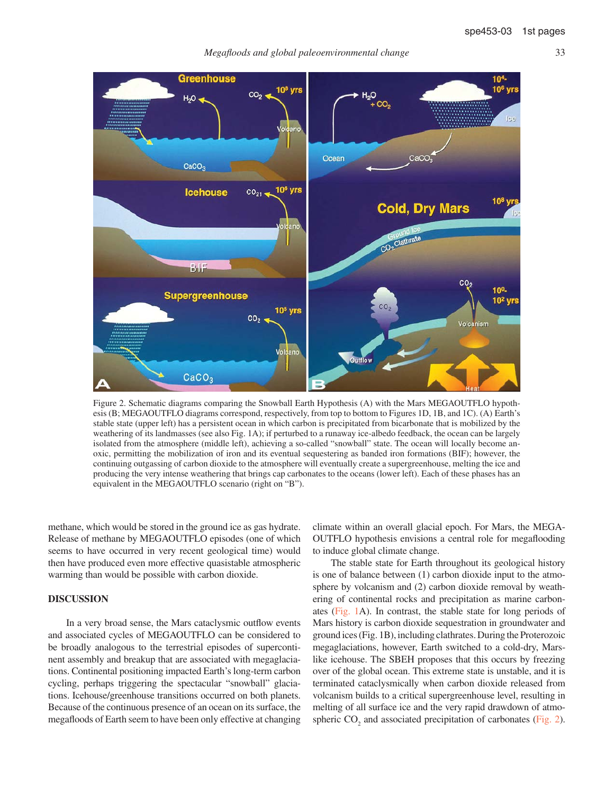



Figure 2. Schematic diagrams comparing the Snowball Earth Hypothesis (A) with the Mars MEGAOUTFLO hypothesis (B; MEGAOUTFLO diagrams correspond, respectively, from top to bottom to Figures 1D, 1B, and 1C). (A) Earth's stable state (upper left) has a persistent ocean in which carbon is precipitated from bicarbonate that is mobilized by the weathering of its landmasses (see also Fig. 1A); if perturbed to a runaway ice-albedo feedback, the ocean can be largely isolated from the atmosphere (middle left), achieving a so-called "snowball" state. The ocean will locally become anoxic, permitting the mobilization of iron and its eventual sequestering as banded iron formations (BIF); however, the continuing outgassing of carbon dioxide to the atmosphere will eventually create a supergreenhouse, melting the ice and producing the very intense weathering that brings cap carbonates to the oceans (lower left). Each of these phases has an equivalent in the MEGAOUTFLO scenario (right on "B").

methane, which would be stored in the ground ice as gas hydrate. Release of methane by MEGAOUTFLO episodes (one of which seems to have occurred in very recent geological time) would then have produced even more effective quasistable atmospheric warming than would be possible with carbon dioxide.

 $CaCO<sub>3</sub>$ 

## **DISCUSSION**

In a very broad sense, the Mars cataclysmic outflow events and associated cycles of MEGAOUTFLO can be considered to be broadly analogous to the terrestrial episodes of supercontinent assembly and breakup that are associated with megaglaciations. Continental positioning impacted Earth's long-term carbon cycling, perhaps triggering the spectacular "snowball" glaciations. Icehouse/greenhouse transitions occurred on both planets. Because of the continuous presence of an ocean on its surface, the megafl oods of Earth seem to have been only effective at changing

climate within an overall glacial epoch. For Mars, the MEGA-OUTFLO hypothesis envisions a central role for megaflooding to induce global climate change.

Volcanism

The stable state for Earth throughout its geological history is one of balance between (1) carbon dioxide input to the atmosphere by volcanism and (2) carbon dioxide removal by weathering of continental rocks and precipitation as marine carbonates (Fig. 1A). In contrast, the stable state for long periods of Mars history is carbon dioxide sequestration in groundwater and ground ices (Fig. 1B), including clathrates. During the Proterozoic megaglaciations, however, Earth switched to a cold-dry, Marslike icehouse. The SBEH proposes that this occurs by freezing over of the global ocean. This extreme state is unstable, and it is terminated cataclysmically when carbon dioxide released from volcanism builds to a critical supergreenhouse level, resulting in melting of all surface ice and the very rapid drawdown of atmospheric  $CO<sub>2</sub>$  and associated precipitation of carbonates (Fig. 2).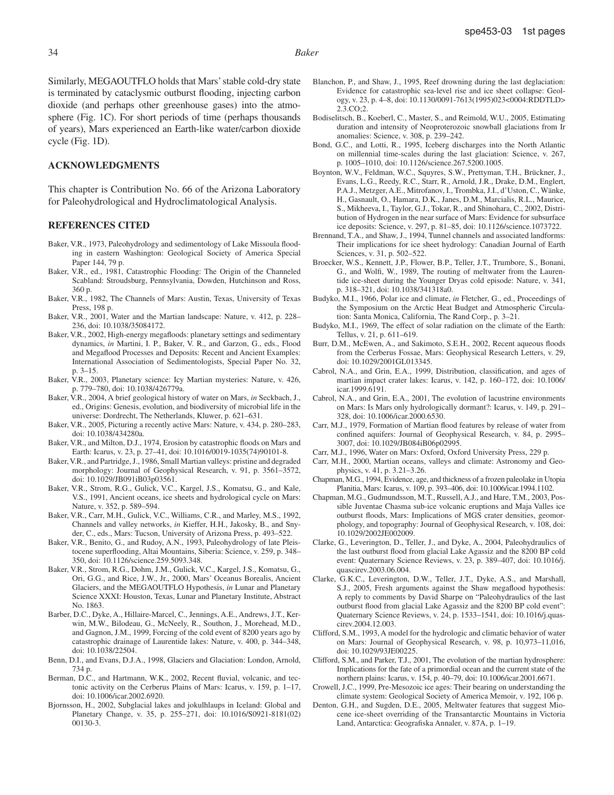Similarly, MEGAOUTFLO holds that Mars' stable cold-dry state is terminated by cataclysmic outburst flooding, injecting carbon dioxide (and perhaps other greenhouse gases) into the atmosphere (Fig. 1C). For short periods of time (perhaps thousands of years), Mars experienced an Earth-like water/carbon dioxide cycle (Fig. 1D).

## **ACKNOWLEDGMENTS**

This chapter is Contribution No. 66 of the Arizona Laboratory for Paleohydrological and Hydroclimatological Analysis.

## **REFERENCES CITED**

- Baker, V.R., 1973, Paleohydrology and sedimentology of Lake Missoula flooding in eastern Washington: Geological Society of America Special Paper 144, 79 p.
- Baker, V.R., ed., 1981, Catastrophic Flooding: The Origin of the Channeled Scabland: Stroudsburg, Pennsylvania, Dowden, Hutchinson and Ross, 360 p.
- Baker, V.R., 1982, The Channels of Mars: Austin, Texas, University of Texas Press, 198 p.
- Baker, V.R., 2001, Water and the Martian landscape: Nature, v. 412, p. 228– 236, doi: 10.1038/35084172.
- Baker, V.R., 2002, High-energy megafloods: planetary settings and sedimentary dynamics, *in* Martini, I. P., Baker, V. R., and Garzon, G., eds., Flood and Megaflood Processes and Deposits: Recent and Ancient Examples: International Association of Sedimentologists, Special Paper No. 32, p. 3–15.
- Baker, V.R., 2003, Planetary science: Icy Martian mysteries: Nature, v. 426, p. 779–780, doi: 10.1038/426779a.
- Baker, V.R., 2004, A brief geological history of water on Mars, *in* Seckbach, J., ed., Origins: Genesis, evolution, and biodiversity of microbial life in the universe: Dordrecht, The Netherlands, Kluwer, p. 621–631.
- Baker, V.R., 2005, Picturing a recently active Mars: Nature, v. 434, p. 280–283, doi: 10.1038/434280a.
- Baker, V.R., and Milton, D.J., 1974, Erosion by catastrophic floods on Mars and Earth: Icarus, v. 23, p. 27–41, doi: 10.1016/0019-1035(74)90101-8.
- Baker, V.R., and Partridge, J., 1986, Small Martian valleys: pristine and degraded morphology: Journal of Geophysical Research, v. 91, p. 3561–3572, doi: 10.1029/JB091iB03p03561.
- Baker, V.R., Strom, R.G., Gulick, V.C., Kargel, J.S., Komatsu, G., and Kale, V.S., 1991, Ancient oceans, ice sheets and hydrological cycle on Mars: Nature, v. 352, p. 589–594.
- Baker, V.R., Carr, M.H., Gulick, V.C., Williams, C.R., and Marley, M.S., 1992, Channels and valley networks, *in* Kieffer, H.H., Jakosky, B., and Snyder, C., eds., Mars: Tucson, University of Arizona Press, p. 493–522.
- Baker, V.R., Benito, G., and Rudoy, A.N., 1993, Paleohydrology of late Pleistocene superflooding, Altai Mountains, Siberia: Science, v. 259, p. 348-350, doi: 10.1126/science.259.5093.348.
- Baker, V.R., Strom, R.G., Dohm, J.M., Gulick, V.C., Kargel, J.S., Komatsu, G., Ori, G.G., and Rice, J.W., Jr., 2000, Mars' Oceanus Borealis, Ancient Glaciers, and the MEGAOUTFLO Hypothesis, *in* Lunar and Planetary Science XXXI: Houston, Texas, Lunar and Planetary Institute, Abstract No. 1863.
- Barber, D.C., Dyke, A., Hillaire-Marcel, C., Jennings, A.E., Andrews, J.T., Kerwin, M.W., Bilodeau, G., McNeely, R., Southon, J., Morehead, M.D., and Gagnon, J.M., 1999, Forcing of the cold event of 8200 years ago by catastrophic drainage of Laurentide lakes: Nature, v. 400, p. 344–348, doi: 10.1038/22504.
- Benn, D.I., and Evans, D.J.A., 1998, Glaciers and Glaciation: London, Arnold, 734 p.
- Berman, D.C., and Hartmann, W.K., 2002, Recent fluvial, volcanic, and tectonic activity on the Cerberus Plains of Mars: Icarus, v. 159, p. 1–17, doi: 10.1006/icar.2002.6920.
- Bjornsson, H., 2002, Subglacial lakes and jokulhlaups in Iceland: Global and Planetary Change, v. 35, p. 255–271, doi: 10.1016/S0921-8181(02) 00130-3.
- Blanchon, P., and Shaw, J., 1995, Reef drowning during the last deglaciation: Evidence for catastrophic sea-level rise and ice sheet collapse: Geology, v. 23, p. 4–8, doi: 10.1130/0091-7613(1995)023<0004:RDDTLD> 2.3.CO;2.
- Bodiselitsch, B., Koeberl, C., Master, S., and Reimold, W.U., 2005, Estimating duration and intensity of Neoproterozoic snowball glaciations from Ir anomalies: Science, v. 308, p. 239–242.
- Bond, G.C., and Lotti, R., 1995, Iceberg discharges into the North Atlantic on millennial time-scales during the last glaciation: Science, v. 267, p. 1005–1010, doi: 10.1126/science.267.5200.1005.
- Boynton, W.V., Feldman, W.C., Squyres, S.W., Prettyman, T.H., Brückner, J., Evans, L.G., Reedy, R.C., Starr, R., Arnold, J.R., Drake, D.M., Englert, P.A.J., Metzger, A.E., Mitrofanov, I., Trombka, J.I., d'Uston, C., Wänke, H., Gasnault, O., Hamara, D.K., Janes, D.M., Marcialis, R.L., Maurice, S., Mikheeva, I., Taylor, G.J., Tokar, R., and Shinohara, C., 2002, Distribution of Hydrogen in the near surface of Mars: Evidence for subsurface ice deposits: Science, v. 297, p. 81–85, doi: 10.1126/science.1073722.
- Brennand, T.A., and Shaw, J., 1994, Tunnel channels and associated landforms: Their implications for ice sheet hydrology: Canadian Journal of Earth Sciences, v. 31, p. 502–522.
- Broecker, W.S., Kennett, J.P., Flower, B.P., Teller, J.T., Trumbore, S., Bonani, G., and Wolfi, W., 1989, The routing of meltwater from the Laurentide ice-sheet during the Younger Dryas cold episode: Nature, v. 341, p. 318–321, doi: 10.1038/341318a0.
- Budyko, M.I., 1966, Polar ice and climate, *in* Fletcher, G., ed., Proceedings of the Symposium on the Arctic Heat Budget and Atmospheric Circulation: Santa Monica, California, The Rand Corp., p. 3–21.
- Budyko, M.I., 1969, The effect of solar radiation on the climate of the Earth: Tellus, v. 21, p. 611–619.
- Burr, D.M., McEwen, A., and Sakimoto, S.E.H., 2002, Recent aqueous floods from the Cerberus Fossae, Mars: Geophysical Research Letters, v. 29, doi: 10.1029/2001GL013345.
- Cabrol, N.A., and Grin, E.A., 1999, Distribution, classification, and ages of martian impact crater lakes: Icarus, v. 142, p. 160–172, doi: 10.1006/ icar.1999.6191.
- Cabrol, N.A., and Grin, E.A., 2001, The evolution of lacustrine environments on Mars: Is Mars only hydrologically dormant?: Icarus, v. 149, p. 291– 328, doi: 10.1006/icar.2000.6530.
- Carr, M.J., 1979, Formation of Martian flood features by release of water from confined aquifers: Journal of Geophysical Research, v. 84, p. 2995-3007, doi: 10.1029/JB084iB06p02995.
- Carr, M.J., 1996, Water on Mars: Oxford, Oxford University Press, 229 p.
- Carr, M.H., 2000, Martian oceans, valleys and climate: Astronomy and Geophysics, v. 41, p. 3.21–3.26.
- Chapman, M.G., 1994, Evidence, age, and thickness of a frozen paleolake in Utopia Planitia, Mars: Icarus, v. 109, p. 393–406, doi: 10.1006/icar.1994.1102.
- Chapman, M.G., Gudmundsson, M.T., Russell, A.J., and Hare, T.M., 2003, Possible Juventae Chasma sub-ice volcanic eruptions and Maja Valles ice outburst floods, Mars: Implications of MGS crater densities, geomorphology, and topography: Journal of Geophysical Research, v. 108, doi: 10.1029/2002JE002009.
- Clarke, G., Leverington, D., Teller, J., and Dyke, A., 2004, Paleohydraulics of the last outburst flood from glacial Lake Agassiz and the 8200 BP cold event: Quaternary Science Reviews, v. 23, p. 389–407, doi: 10.1016/j. quascirev.2003.06.004.
- Clarke, G.K.C., Leverington, D.W., Teller, J.T., Dyke, A.S., and Marshall, S.J., 2005, Fresh arguments against the Shaw megaflood hypothesis: A reply to comments by David Sharpe on "Paleohydraulics of the last outburst flood from glacial Lake Agassiz and the 8200 BP cold event": Quaternary Science Reviews, v. 24, p. 1533–1541, doi: 10.1016/j.quascirev.2004.12.003.
- Clifford, S.M., 1993, A model for the hydrologic and climatic behavior of water on Mars: Journal of Geophysical Research, v. 98, p. 10,973–11,016, doi: 10.1029/93JE00225.
- Clifford, S.M., and Parker, T.J., 2001, The evolution of the martian hydrosphere: Implications for the fate of a primordial ocean and the current state of the northern plains: Icarus, v. 154, p. 40–79, doi: 10.1006/icar.2001.6671.
- Crowell, J.C., 1999, Pre-Mesozoic ice ages: Their bearing on understanding the climate system: Geological Society of America Memoir, v. 192, 106 p.
- Denton, G.H., and Sugden, D.E., 2005, Meltwater features that suggest Miocene ice-sheet overriding of the Transantarctic Mountains in Victoria Land, Antarctica: Geografiska Annaler, v. 87A, p. 1-19.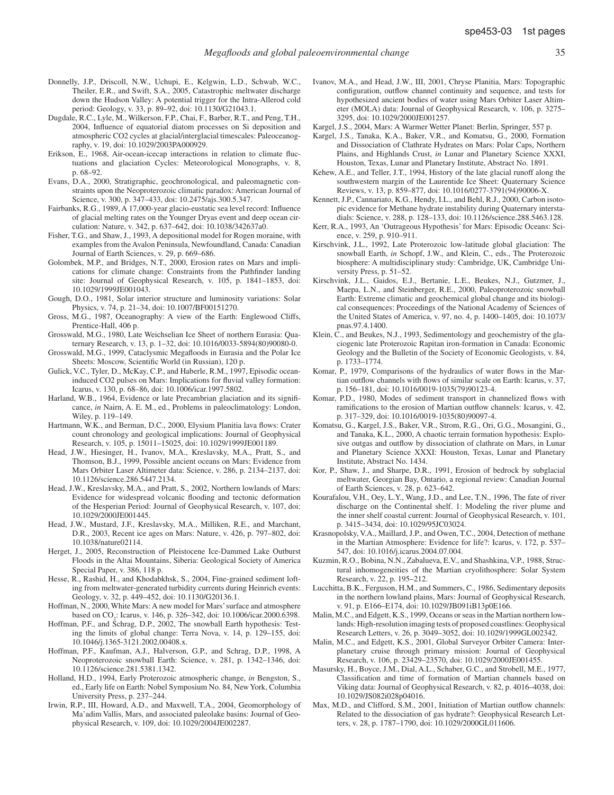- Donnelly, J.P., Driscoll, N.W., Uchupi, E., Kelgwin, L.D., Schwab, W.C., Theiler, E.R., and Swift, S.A., 2005, Catastrophic meltwater discharge down the Hudson Valley: A potential trigger for the Intra-Allerod cold period: Geology, v. 33, p. 89–92, doi: 10.1130/G21043.1.
- Dugdale, R.C., Lyle, M., Wilkerson, F.P., Chai, F., Barber, R.T., and Peng, T.H., 2004, Influence of equatorial diatom processes on Si deposition and atmospheric CO2 cycles at glacial/interglacial timescales: Paleoceanography, v. 19, doi: 10.1029/2003PA000929.
- Erikson, E., 1968, Air-ocean-icecap interactions in relation to climate fluctuations and glaciation Cycles: Meteorological Monographs, v. 8, p. 68–92.
- Evans, D.A., 2000, Stratigraphic, geochronological, and paleomagnetic constraints upon the Neoproterozoic climatic paradox: American Journal of Science, v. 300, p. 347–433, doi: 10.2475/ajs.300.5.347.
- Fairbanks, R.G., 1989, A 17,000-year glacio-eustatic sea level record: Influence of glacial melting rates on the Younger Dryas event and deep ocean circulation: Nature, v. 342, p. 637–642, doi: 10.1038/342637a0.
- Fisher, T.G., and Shaw, J., 1993, A depositional model for Rogen moraine, with examples from the Avalon Peninsula, Newfoundland, Canada: Canadian Journal of Earth Sciences, v. 29, p. 669–686.
- Golombek, M.P., and Bridges, N.T., 2000, Erosion rates on Mars and implications for climate change: Constraints from the Pathfinder landing site: Journal of Geophysical Research, v. 105, p. 1841–1853, doi: 10.1029/1999JE001043.
- Gough, D.O., 1981, Solar interior structure and luminosity variations: Solar Physics, v. 74, p. 21–34, doi: 10.1007/BF00151270.
- Gross, M.G., 1987, Oceanography: A view of the Earth: Englewood Cliffs, Prentice-Hall, 406 p.
- Grosswald, M.G., 1980, Late Weichselian Ice Sheet of northern Eurasia: Quaternary Research, v. 13, p. 1–32, doi: 10.1016/0033-5894(80)90080-0.
- Grosswald, M.G., 1999, Cataclysmic Megafloods in Eurasia and the Polar Ice Sheets: Moscow, Scientific World (in Russian), 120 p.
- Gulick, V.C., Tyler, D., McKay, C.P., and Haberle, R.M., 1997, Episodic oceaninduced CO2 pulses on Mars: Implications for fluvial valley formation: Icarus, v. 130, p. 68–86, doi: 10.1006/icar.1997.5802.
- Harland, W.B., 1964, Evidence or late Precambrian glaciation and its significance, *in* Nairn, A. E. M., ed., Problems in paleoclimatology: London, Wiley, p. 119–149.
- Hartmann, W.K., and Berman, D.C., 2000, Elysium Planitia lava flows: Crater count chronology and geological implications: Journal of Geophysical Research, v. 105, p. 15011–15025, doi: 10.1029/1999JE001189.
- Head, J.W., Hiesinger, H., Ivanov, M.A., Kreslavsky, M.A., Pratt, S., and Thomson, B.J., 1999, Possible ancient oceans on Mars: Evidence from Mars Orbiter Laser Altimeter data: Science, v. 286, p. 2134–2137, doi: 10.1126/science.286.5447.2134.
- Head, J.W., Kreslavsky, M.A., and Pratt, S., 2002, Northern lowlands of Mars: Evidence for widespread volcanic flooding and tectonic deformation of the Hesperian Period: Journal of Geophysical Research, v. 107, doi: 10.1029/2000JE001445.
- Head, J.W., Mustard, J.F., Kreslavsky, M.A., Milliken, R.E., and Marchant, D.R., 2003, Recent ice ages on Mars: Nature, v. 426, p. 797–802, doi: 10.1038/nature02114.
- Herget, J., 2005, Reconstruction of Pleistocene Ice-Dammed Lake Outburst Floods in the Altai Mountains, Siberia: Geological Society of America Special Paper, v. 386, 118 p.
- Hesse, R., Rashid, H., and Khodabkhsk, S., 2004, Fine-grained sediment lofting from meltwater-generated turbidity currents during Heinrich events: Geology, v. 32, p. 449–452, doi: 10.1130/G20136.1.
- Hoffman, N., 2000, White Mars: A new model for Mars' surface and atmosphere based on CO<sub>2</sub>: Icarus, v. 146, p. 326–342, doi: 10.1006/icar.2000.6398.
- Hoffman, P.F., and Schrag, D.P., 2002, The snowball Earth hypothesis: Testing the limits of global change: Terra Nova, v. 14, p. 129–155, doi: 10.1046/j.1365-3121.2002.00408.x.
- Hoffman, P.F., Kaufman, A.J., Halverson, G.P., and Schrag, D.P., 1998, A Neoproterozoic snowball Earth: Science, v. 281, p. 1342–1346, doi: 10.1126/science.281.5381.1342.
- Holland, H.D., 1994, Early Proterozoic atmospheric change, *in* Bengston, S., ed., Early life on Earth: Nobel Symposium No. 84, New York, Columbia University Press, p. 237–244.
- Irwin, R.P., III, Howard, A.D., and Maxwell, T.A., 2004, Geomorphology of Ma'adim Vallis, Mars, and associated paleolake basins: Journal of Geophysical Research, v. 109, doi: 10.1029/2004JE002287.
- Ivanov, M.A., and Head, J.W., III, 2001, Chryse Planitia, Mars: Topographic configuration, outflow channel continuity and sequence, and tests for hypothesized ancient bodies of water using Mars Orbiter Laser Altimeter (MOLA) data: Journal of Geophysical Research, v. 106, p. 3275– 3295, doi: 10.1029/2000JE001257.
- Kargel, J.S., 2004, Mars: A Warmer Wetter Planet: Berlin, Springer, 557 p.
- Kargel, J.S., Tanaka, K.A., Baker, V.R., and Komatsu, G., 2000, Formation and Dissociation of Clathrate Hydrates on Mars: Polar Caps, Northern Plains, and Highlands Crust, *in* Lunar and Planetary Science XXXI, Houston, Texas, Lunar and Planetary Institute, Abstract No. 1891.
- Kehew, A.E., and Teller, J.T., 1994, History of the late glacial runoff along the southwestern margin of the Laurentide Ice Sheet: Quaternary Science Reviews, v. 13, p. 859–877, doi: 10.1016/0277-3791(94)90006-X.
- Kennett, J.P., Cannariato, K.G., Hendy, I.L., and Behl, R.J., 2000, Carbon isotopic evidence for Methane hydrate instability during Quaternary interstadials: Science, v. 288, p. 128–133, doi: 10.1126/science.288.5463.128.
- Kerr, R.A., 1993, An 'Outrageous Hypothesis' for Mars: Episodic Oceans: Science, v. 259, p. 910–911.
- Kirschvink, J.L., 1992, Late Proterozoic low-latitude global glaciation: The snowball Earth, *in* Schopf, J.W., and Klein, C., eds., The Proterozoic biosphere: A multidisciplinary study: Cambridge, UK, Cambridge University Press, p. 51–52.
- Kirschvink, J.L., Gaidos, E.J., Bertanie, L.E., Beukes, N.J., Gutzmer, J., Maepa, L.N., and Steinberger, R.E., 2000, Paleoproterozoic snowball Earth: Extreme climatic and geochemical global change and its biological consequences: Proceedings of the National Academy of Sciences of the United States of America, v. 97, no. 4, p. 1400–1405, doi: 10.1073/ pnas.97.4.1400.
- Klein, C., and Beukes, N.J., 1993, Sedimentology and geochemistry of the glaciogenic late Proterozoic Rapitan iron-formation in Canada: Economic Geology and the Bulletin of the Society of Economic Geologists, v. 84, p. 1733–1774.
- Komar, P., 1979, Comparisons of the hydraulics of water flows in the Martian outflow channels with flows of similar scale on Earth: Icarus, v. 37, p. 156–181, doi: 10.1016/0019-1035(79)90123-4.
- Komar, P.D., 1980, Modes of sediment transport in channelized flows with ramifications to the erosion of Martian outflow channels: Icarus, v. 42, p. 317–329, doi: 10.1016/0019-1035(80)90097-4.
- Komatsu, G., Kargel, J.S., Baker, V.R., Strom, R.G., Ori, G.G., Mosangini, G., and Tanaka, K.L., 2000, A chaotic terrain formation hypothesis: Explosive outgas and outflow by dissociation of clathrate on Mars, in Lunar and Planetary Science XXXI: Houston, Texas, Lunar and Planetary Institute, Abstract No. 1434.
- Kor, P., Shaw, J., and Sharpe, D.R., 1991, Erosion of bedrock by subglacial meltwater, Georgian Bay, Ontario, a regional review: Canadian Journal of Earth Sciences, v. 28, p. 623–642.
- Kourafalou, V.H., Oey, L.Y., Wang, J.D., and Lee, T.N., 1996, The fate of river discharge on the Continental shelf. 1: Modeling the river plume and the inner shelf coastal current: Journal of Geophysical Research, v. 101, p. 3415–3434, doi: 10.1029/95JC03024.
- Krasnopolsky, V.A., Maillard, J.P., and Owen, T.C., 2004, Detection of methane in the Martian Atmosphere: Evidence for life?: Icarus, v. 172, p. 537– 547, doi: 10.1016/j.icarus.2004.07.004.
- Kuzmin, R.O., Bobina, N.N., Zabalueva, E.V., and Shashkina, V.P., 1988, Structural inhomogeneities of the Martian cryolithosphere: Solar System Research, v. 22, p. 195–212.
- Lucchitta, B.K., Ferguson, H.M., and Summers, C., 1986, Sedimentary deposits in the northern lowland plains, Mars: Journal of Geophysical Research, v. 91, p. E166–E174, doi: 10.1029/JB091iB13p0E166.
- Malin, M.C., and Edgett, K.S., 1999, Oceans or seas in the Martian northern lowlands: High-resolution imaging tests of proposed coastlines: Geophysical Research Letters, v. 26, p. 3049–3052, doi: 10.1029/1999GL002342.
- Malin, M.C., and Edgett, K.S., 2001, Global Surveyor Orbiter Camera: Interplanetary cruise through primary mission: Journal of Geophysical Research, v. 106, p. 23429–23570, doi: 10.1029/2000JE001455.
- Masursky, H., Boyce, J.M., Dial, A.L., Schaber, G.C., and Strobell, M.E., 1977, Classification and time of formation of Martian channels based on Viking data: Journal of Geophysical Research, v. 82, p. 4016–4038, doi: 10.1029/JS082i028p04016.
- Max, M.D., and Clifford, S.M., 2001, Initiation of Martian outflow channels: Related to the dissociation of gas hydrate?: Geophysical Research Letters, v. 28, p. 1787–1790, doi: 10.1029/2000GL011606.